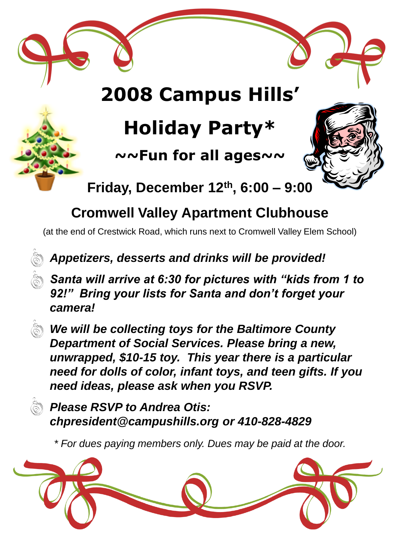# **2008 Campus Hills'**

# **Holiday Party\***

**~~Fun for all ages~~**



**Friday, December 12th, 6:00 – 9:00**

## **Cromwell Valley Apartment Clubhouse**

(at the end of Crestwick Road, which runs next to Cromwell Valley Elem School)

## *Appetizers, desserts and drinks will be provided!*

*Santa will arrive at 6:30 for pictures with "kids from 1 to 92!" Bring your lists for Santa and don't forget your camera!*

*We will be collecting toys for the Baltimore County Department of Social Services. Please bring a new, unwrapped, \$10-15 toy. This year there is a particular need for dolls of color, infant toys, and teen gifts. If you need ideas, please ask when you RSVP.*

*Please RSVP to Andrea Otis: chpresident@campushills.org or 410-828-4829*

*\* For dues paying members only. Dues may be paid at the door.*

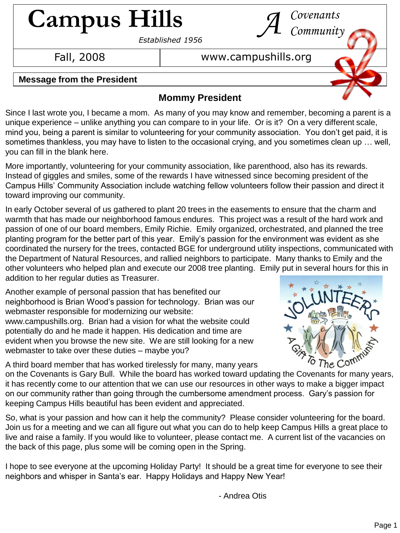# **Campus Hills** *Covenants A Community*

*Established 1956*

#### Fall, 2008 **b** www.campushills.org

#### **Message from the President**

#### **Mommy President**

Since I last wrote you, I became a mom. As many of you may know and remember, becoming a parent is a unique experience – unlike anything you can compare to in your life. Or is it? On a very different scale, mind you, being a parent is similar to volunteering for your community association. You don't get paid, it is sometimes thankless, you may have to listen to the occasional crying, and you sometimes clean up … well, you can fill in the blank here.

More importantly, volunteering for your community association, like parenthood, also has its rewards. Instead of giggles and smiles, some of the rewards I have witnessed since becoming president of the Campus Hills' Community Association include watching fellow volunteers follow their passion and direct it toward improving our community.

In early October several of us gathered to plant 20 trees in the easements to ensure that the charm and warmth that has made our neighborhood famous endures. This project was a result of the hard work and passion of one of our board members, Emily Richie. Emily organized, orchestrated, and planned the tree planting program for the better part of this year. Emily's passion for the environment was evident as she coordinated the nursery for the trees, contacted BGE for underground utility inspections, communicated with the Department of Natural Resources, and rallied neighbors to participate. Many thanks to Emily and the other volunteers who helped plan and execute our 2008 tree planting. Emily put in several hours for this in addition to her regular duties as Treasurer.

Another example of personal passion that has benefited our neighborhood is Brian Wood's passion for technology. Brian was our webmaster responsible for modernizing our website: www.campushills.org. Brian had a vision for what the website could potentially do and he made it happen. His dedication and time are evident when you browse the new site. We are still looking for a new webmaster to take over these duties – maybe you?



A third board member that has worked tirelessly for many, many years

on the Covenants is Gary Bull. While the board has worked toward updating the Covenants for many years, it has recently come to our attention that we can use our resources in other ways to make a bigger impact on our community rather than going through the cumbersome amendment process. Gary's passion for keeping Campus Hills beautiful has been evident and appreciated.

So, what is your passion and how can it help the community? Please consider volunteering for the board. Join us for a meeting and we can all figure out what you can do to help keep Campus Hills a great place to live and raise a family. If you would like to volunteer, please contact me. A current list of the vacancies on the back of this page, plus some will be coming open in the Spring.

I hope to see everyone at the upcoming Holiday Party! It should be a great time for everyone to see their neighbors and whisper in Santa's ear. Happy Holidays and Happy New Year!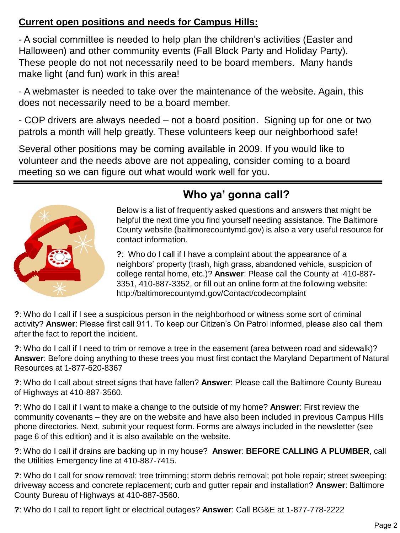#### **Current open positions and needs for Campus Hills:**

- A social committee is needed to help plan the children's activities (Easter and Halloween) and other community events (Fall Block Party and Holiday Party). These people do not not necessarily need to be board members. Many hands make light (and fun) work in this area!

- A webmaster is needed to take over the maintenance of the website. Again, this does not necessarily need to be a board member.

- COP drivers are always needed – not a board position. Signing up for one or two patrols a month will help greatly. These volunteers keep our neighborhood safe!

Several other positions may be coming available in 2009. If you would like to volunteer and the needs above are not appealing, consider coming to a board meeting so we can figure out what would work well for you.



## **Who ya' gonna call?**

Below is a list of frequently asked questions and answers that might be helpful the next time you find yourself needing assistance. The Baltimore County website (baltimorecountymd.gov) is also a very useful resource for contact information.

**?**: Who do I call if I have a complaint about the appearance of a neighbors' property (trash, high grass, abandoned vehicle, suspicion of college rental home, etc.)? **Answer**: Please call the County at 410-887- 3351, 410-887-3352, or fill out an online form at the following website: http://baltimorecountymd.gov/Contact/codecomplaint

**?**: Who do I call if I see a suspicious person in the neighborhood or witness some sort of criminal activity? **Answer**: Please first call 911. To keep our Citizen's On Patrol informed, please also call them after the fact to report the incident.

**?**: Who do I call if I need to trim or remove a tree in the easement (area between road and sidewalk)? **Answer**: Before doing anything to these trees you must first contact the Maryland Department of Natural Resources at 1-877-620-8367

**?**: Who do I call about street signs that have fallen? **Answer**: Please call the Baltimore County Bureau of Highways at 410-887-3560.

**?**: Who do I call if I want to make a change to the outside of my home? **Answer**: First review the community covenants – they are on the website and have also been included in previous Campus Hills phone directories. Next, submit your request form. Forms are always included in the newsletter (see page 6 of this edition) and it is also available on the website.

**?**: Who do I call if drains are backing up in my house? **Answer**: **BEFORE CALLING A PLUMBER**, call the Utilities Emergency line at 410-887-7415.

**?**: Who do I call for snow removal; tree trimming; storm debris removal; pot hole repair; street sweeping; driveway access and concrete replacement; curb and gutter repair and installation? **Answer**: Baltimore County Bureau of Highways at 410-887-3560.

**?**: Who do I call to report light or electrical outages? **Answer**: Call BG&E at 1-877-778-2222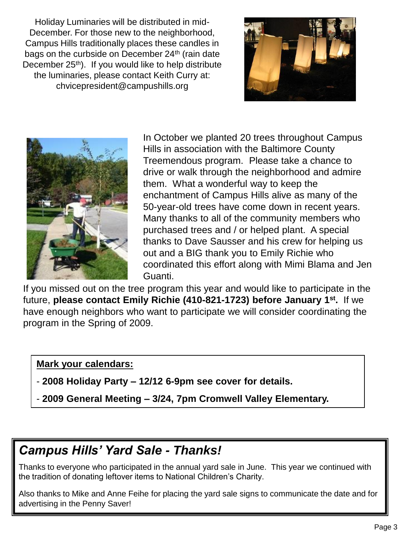Holiday Luminaries will be distributed in mid-December. For those new to the neighborhood, Campus Hills traditionally places these candles in bags on the curbside on December 24<sup>th</sup> (rain date December 25<sup>th</sup>). If you would like to help distribute the luminaries, please contact Keith Curry at: chvicepresident@campushills.org





In October we planted 20 trees throughout Campus Hills in association with the Baltimore County Treemendous program. Please take a chance to drive or walk through the neighborhood and admire them. What a wonderful way to keep the enchantment of Campus Hills alive as many of the 50-year-old trees have come down in recent years. Many thanks to all of the community members who purchased trees and / or helped plant. A special thanks to Dave Sausser and his crew for helping us out and a BIG thank you to Emily Richie who coordinated this effort along with Mimi Blama and Jen Guanti.

If you missed out on the tree program this year and would like to participate in the future, **please contact Emily Richie (410-821-1723) before January 1st .** If we have enough neighbors who want to participate we will consider coordinating the program in the Spring of 2009.

#### **Mark your calendars:**

- **2008 Holiday Party – 12/12 6-9pm see cover for details.**
- **2009 General Meeting – 3/24, 7pm Cromwell Valley Elementary.**

### *Campus Hills' Yard Sale - Thanks!*

Thanks to everyone who participated in the annual yard sale in June. This year we continued with the tradition of donating leftover items to National Children's Charity.

Also thanks to Mike and Anne Feihe for placing the yard sale signs to communicate the date and for advertising in the Penny Saver!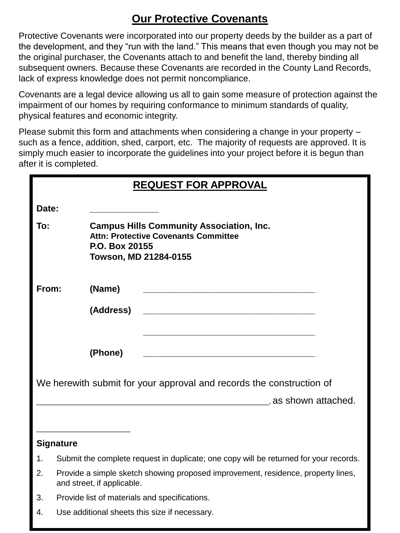#### **Our Protective Covenants**

Protective Covenants were incorporated into our property deeds by the builder as a part of the development, and they "run with the land." This means that even though you may not be the original purchaser, the Covenants attach to and benefit the land, thereby binding all subsequent owners. Because these Covenants are recorded in the County Land Records, lack of express knowledge does not permit noncompliance.

Covenants are a legal device allowing us all to gain some measure of protection against the impairment of our homes by requiring conformance to minimum standards of quality, physical features and economic integrity.

Please submit this form and attachments when considering a change in your property – such as a fence, addition, shed, carport, etc. The majority of requests are approved. It is simply much easier to incorporate the guidelines into your project before it is begun than after it is completed.

| <b>REQUEST FOR APPROVAL</b>                                          |                                                                                                                                           |  |
|----------------------------------------------------------------------|-------------------------------------------------------------------------------------------------------------------------------------------|--|
| Date:                                                                |                                                                                                                                           |  |
| To:                                                                  | <b>Campus Hills Community Association, Inc.</b><br><b>Attn: Protective Covenants Committee</b><br>P.O. Box 20155<br>Towson, MD 21284-0155 |  |
| From:                                                                | (Name)                                                                                                                                    |  |
|                                                                      | (Address)                                                                                                                                 |  |
|                                                                      |                                                                                                                                           |  |
|                                                                      | (Phone)                                                                                                                                   |  |
| We herewith submit for your approval and records the construction of |                                                                                                                                           |  |
| as shown attached.                                                   |                                                                                                                                           |  |
|                                                                      |                                                                                                                                           |  |
| <b>Signature</b>                                                     |                                                                                                                                           |  |
| 1.                                                                   | Submit the complete request in duplicate; one copy will be returned for your records.                                                     |  |
| 2.                                                                   | Provide a simple sketch showing proposed improvement, residence, property lines,<br>and street, if applicable.                            |  |
| 3.                                                                   | Provide list of materials and specifications.                                                                                             |  |
| 4.                                                                   | Use additional sheets this size if necessary.                                                                                             |  |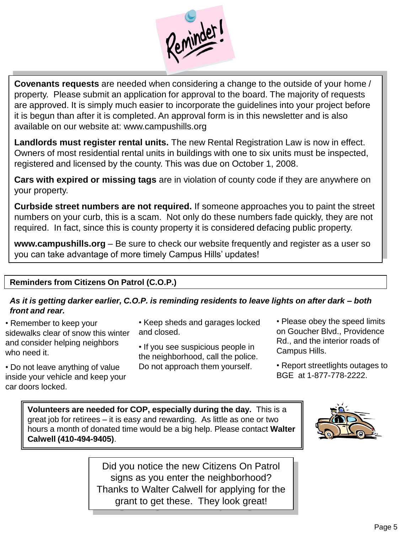

**Covenants requests** are needed when considering a change to the outside of your home / property. Please submit an application for approval to the board. The majority of requests are approved. It is simply much easier to incorporate the guidelines into your project before it is begun than after it is completed. An approval form is in this newsletter and is also available on our website at: www.campushills.org

**Landlords must register rental units.** The new Rental Registration Law is now in effect. Owners of most residential rental units in buildings with one to six units must be inspected, registered and licensed by the county. This was due on October 1, 2008.

**Cars with expired or missing tags** are in violation of county code if they are anywhere on your property.

**Curbside street numbers are not required.** If someone approaches you to paint the street numbers on your curb, this is a scam. Not only do these numbers fade quickly, they are not required. In fact, since this is county property it is considered defacing public property.

**www.campushills.org** – Be sure to check our website frequently and register as a user so you can take advantage of more timely Campus Hills' updates!

#### **Reminders from Citizens On Patrol (C.O.P.)**

#### *As it is getting darker earlier, C.O.P. is reminding residents to leave lights on after dark – both front and rear.*

- Remember to keep your sidewalks clear of snow this winter and consider helping neighbors who need it.
- Do not leave anything of value inside your vehicle and keep your car doors locked.
- Keep sheds and garages locked and closed.

• If you see suspicious people in the neighborhood, call the police. Do not approach them yourself.

- Please obey the speed limits on Goucher Blvd., Providence Rd., and the interior roads of Campus Hills.
- Report streetlights outages to BGE at 1-877-778-2222.

**Volunteers are needed for COP, especially during the day.** This is a great job for retirees – it is easy and rewarding. As little as one or two hours a month of donated time would be a big help. Please contact **Walter Calwell (410-494-9405)**.



Did you notice the new Citizens On Patrol signs as you enter the neighborhood? Thanks to Walter Calwell for applying for the grant to get these. They look great!